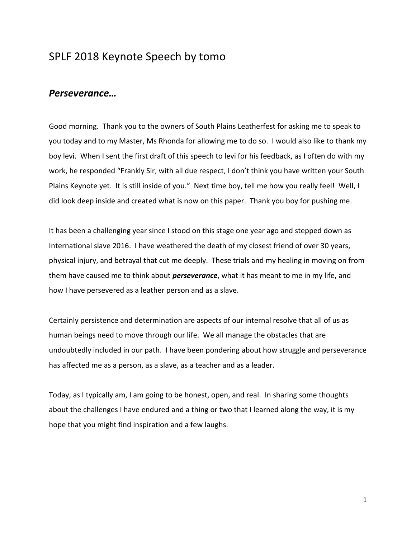# SPLF 2018 Keynote Speech by tomo

## Perseverance…

Good morning. Thank you to the owners of South Plains Leatherfest for asking me to speak to you today and to my Master, Ms Rhonda for allowing me to do so. I would also like to thank my boy levi. When I sent the first draft of this speech to levi for his feedback, as I often do with my work, he responded "Frankly Sir, with all due respect, I don't think you have written your South Plains Keynote yet. It is still inside of you." Next time boy, tell me how you really feel! Well, I did look deep inside and created what is now on this paper. Thank you boy for pushing me.

It has been a challenging year since I stood on this stage one year ago and stepped down as International slave 2016. I have weathered the death of my closest friend of over 30 years, physical injury, and betrayal that cut me deeply. These trials and my healing in moving on from them have caused me to think about *perseverance*, what it has meant to me in my life, and how I have persevered as a leather person and as a slave.

Certainly persistence and determination are aspects of our internal resolve that all of us as human beings need to move through our life. We all manage the obstacles that are undoubtedly included in our path. I have been pondering about how struggle and perseverance has affected me as a person, as a slave, as a teacher and as a leader.

Today, as I typically am, I am going to be honest, open, and real. In sharing some thoughts about the challenges I have endured and a thing or two that I learned along the way, it is my hope that you might find inspiration and a few laughs.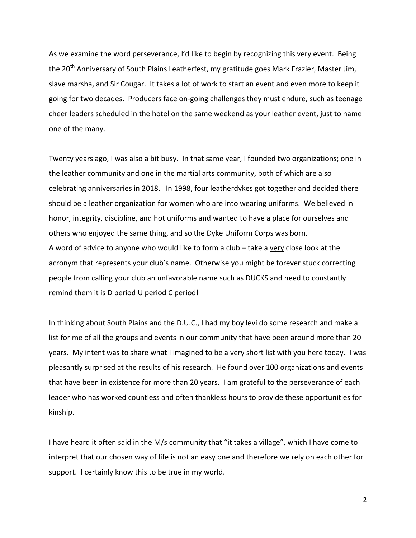As we examine the word perseverance, I'd like to begin by recognizing this very event. Being the 20<sup>th</sup> Anniversary of South Plains Leatherfest, my gratitude goes Mark Frazier, Master Jim, slave marsha, and Sir Cougar. It takes a lot of work to start an event and even more to keep it going for two decades. Producers face on-going challenges they must endure, such as teenage cheer leaders scheduled in the hotel on the same weekend as your leather event, just to name one of the many.

Twenty years ago, I was also a bit busy. In that same year, I founded two organizations; one in the leather community and one in the martial arts community, both of which are also celebrating anniversaries in 2018. In 1998, four leatherdykes got together and decided there should be a leather organization for women who are into wearing uniforms. We believed in honor, integrity, discipline, and hot uniforms and wanted to have a place for ourselves and others who enjoyed the same thing, and so the Dyke Uniform Corps was born. A word of advice to anyone who would like to form a club – take a very close look at the acronym that represents your club's name. Otherwise you might be forever stuck correcting people from calling your club an unfavorable name such as DUCKS and need to constantly remind them it is D period U period C period!

In thinking about South Plains and the D.U.C., I had my boy levi do some research and make a list for me of all the groups and events in our community that have been around more than 20 years. My intent was to share what I imagined to be a very short list with you here today. I was pleasantly surprised at the results of his research. He found over 100 organizations and events that have been in existence for more than 20 years. I am grateful to the perseverance of each leader who has worked countless and often thankless hours to provide these opportunities for kinship.

I have heard it often said in the M/s community that "it takes a village", which I have come to interpret that our chosen way of life is not an easy one and therefore we rely on each other for support. I certainly know this to be true in my world.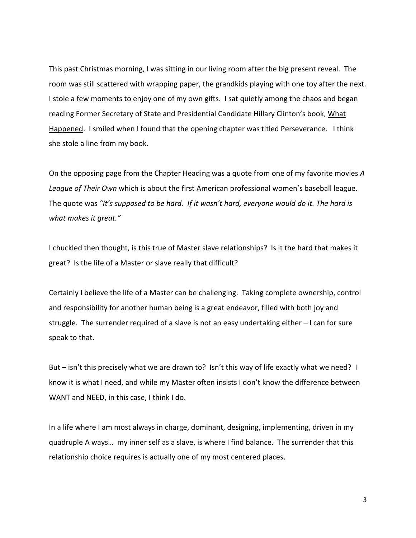This past Christmas morning, I was sitting in our living room after the big present reveal. The room was still scattered with wrapping paper, the grandkids playing with one toy after the next. I stole a few moments to enjoy one of my own gifts. I sat quietly among the chaos and began reading Former Secretary of State and Presidential Candidate Hillary Clinton's book, What Happened. I smiled when I found that the opening chapter was titled Perseverance. I think she stole a line from my book.

On the opposing page from the Chapter Heading was a quote from one of my favorite movies A League of Their Own which is about the first American professional women's baseball league. The quote was "It's supposed to be hard. If it wasn't hard, everyone would do it. The hard is what makes it great."

I chuckled then thought, is this true of Master slave relationships? Is it the hard that makes it great? Is the life of a Master or slave really that difficult?

Certainly I believe the life of a Master can be challenging. Taking complete ownership, control and responsibility for another human being is a great endeavor, filled with both joy and struggle. The surrender required of a slave is not an easy undertaking either – I can for sure speak to that.

But – isn't this precisely what we are drawn to? Isn't this way of life exactly what we need? I know it is what I need, and while my Master often insists I don't know the difference between WANT and NEED, in this case, I think I do.

In a life where I am most always in charge, dominant, designing, implementing, driven in my quadruple A ways… my inner self as a slave, is where I find balance. The surrender that this relationship choice requires is actually one of my most centered places.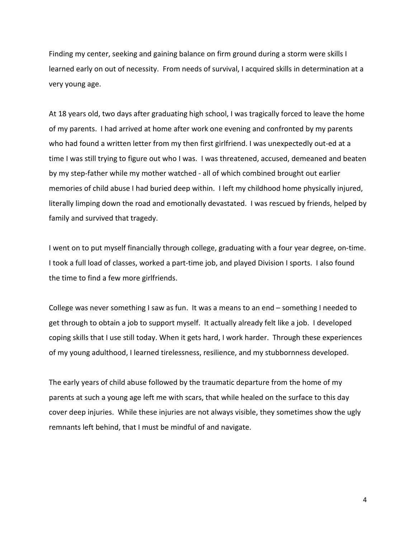Finding my center, seeking and gaining balance on firm ground during a storm were skills I learned early on out of necessity. From needs of survival, I acquired skills in determination at a very young age.

At 18 years old, two days after graduating high school, I was tragically forced to leave the home of my parents. I had arrived at home after work one evening and confronted by my parents who had found a written letter from my then first girlfriend. I was unexpectedly out-ed at a time I was still trying to figure out who I was. I was threatened, accused, demeaned and beaten by my step-father while my mother watched - all of which combined brought out earlier memories of child abuse I had buried deep within. I left my childhood home physically injured, literally limping down the road and emotionally devastated. I was rescued by friends, helped by family and survived that tragedy.

I went on to put myself financially through college, graduating with a four year degree, on-time. I took a full load of classes, worked a part-time job, and played Division I sports. I also found the time to find a few more girlfriends.

College was never something I saw as fun. It was a means to an end – something I needed to get through to obtain a job to support myself. It actually already felt like a job. I developed coping skills that I use still today. When it gets hard, I work harder. Through these experiences of my young adulthood, I learned tirelessness, resilience, and my stubbornness developed.

The early years of child abuse followed by the traumatic departure from the home of my parents at such a young age left me with scars, that while healed on the surface to this day cover deep injuries. While these injuries are not always visible, they sometimes show the ugly remnants left behind, that I must be mindful of and navigate.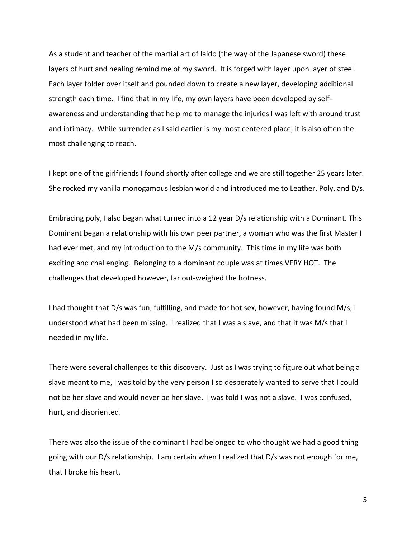As a student and teacher of the martial art of Iaido (the way of the Japanese sword) these layers of hurt and healing remind me of my sword. It is forged with layer upon layer of steel. Each layer folder over itself and pounded down to create a new layer, developing additional strength each time. I find that in my life, my own layers have been developed by selfawareness and understanding that help me to manage the injuries I was left with around trust and intimacy. While surrender as I said earlier is my most centered place, it is also often the most challenging to reach.

I kept one of the girlfriends I found shortly after college and we are still together 25 years later. She rocked my vanilla monogamous lesbian world and introduced me to Leather, Poly, and D/s.

Embracing poly, I also began what turned into a 12 year D/s relationship with a Dominant. This Dominant began a relationship with his own peer partner, a woman who was the first Master I had ever met, and my introduction to the M/s community. This time in my life was both exciting and challenging. Belonging to a dominant couple was at times VERY HOT. The challenges that developed however, far out-weighed the hotness.

I had thought that D/s was fun, fulfilling, and made for hot sex, however, having found M/s, I understood what had been missing. I realized that I was a slave, and that it was M/s that I needed in my life.

There were several challenges to this discovery. Just as I was trying to figure out what being a slave meant to me, I was told by the very person I so desperately wanted to serve that I could not be her slave and would never be her slave. I was told I was not a slave. I was confused, hurt, and disoriented.

There was also the issue of the dominant I had belonged to who thought we had a good thing going with our D/s relationship. I am certain when I realized that D/s was not enough for me, that I broke his heart.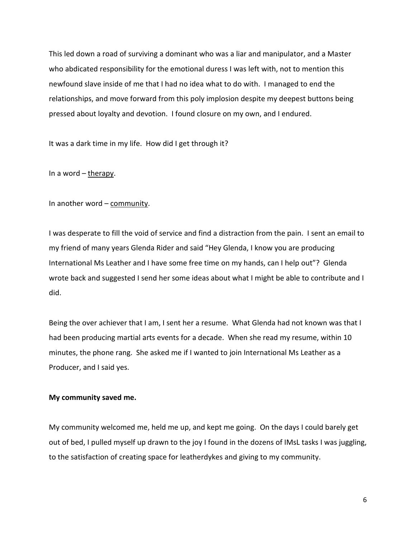This led down a road of surviving a dominant who was a liar and manipulator, and a Master who abdicated responsibility for the emotional duress I was left with, not to mention this newfound slave inside of me that I had no idea what to do with. I managed to end the relationships, and move forward from this poly implosion despite my deepest buttons being pressed about loyalty and devotion. I found closure on my own, and I endured.

It was a dark time in my life. How did I get through it?

In a word  $-\frac{1}{1}$ 

In another word – community.

I was desperate to fill the void of service and find a distraction from the pain. I sent an email to my friend of many years Glenda Rider and said "Hey Glenda, I know you are producing International Ms Leather and I have some free time on my hands, can I help out"? Glenda wrote back and suggested I send her some ideas about what I might be able to contribute and I did.

Being the over achiever that I am, I sent her a resume. What Glenda had not known was that I had been producing martial arts events for a decade. When she read my resume, within 10 minutes, the phone rang. She asked me if I wanted to join International Ms Leather as a Producer, and I said yes.

### My community saved me.

My community welcomed me, held me up, and kept me going. On the days I could barely get out of bed, I pulled myself up drawn to the joy I found in the dozens of IMsL tasks I was juggling, to the satisfaction of creating space for leatherdykes and giving to my community.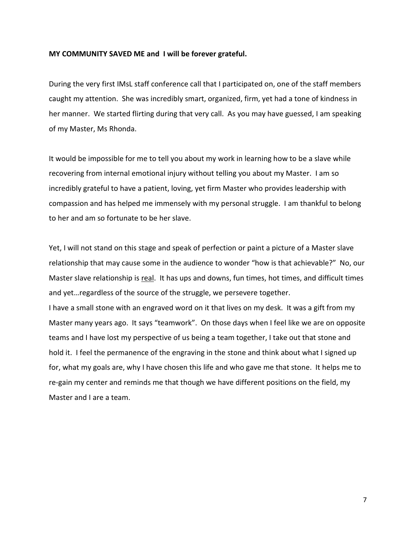#### MY COMMUNITY SAVED ME and I will be forever grateful.

During the very first IMsL staff conference call that I participated on, one of the staff members caught my attention. She was incredibly smart, organized, firm, yet had a tone of kindness in her manner. We started flirting during that very call. As you may have guessed, I am speaking of my Master, Ms Rhonda.

It would be impossible for me to tell you about my work in learning how to be a slave while recovering from internal emotional injury without telling you about my Master. I am so incredibly grateful to have a patient, loving, yet firm Master who provides leadership with compassion and has helped me immensely with my personal struggle. I am thankful to belong to her and am so fortunate to be her slave.

Yet, I will not stand on this stage and speak of perfection or paint a picture of a Master slave relationship that may cause some in the audience to wonder "how is that achievable?" No, our Master slave relationship is real. It has ups and downs, fun times, hot times, and difficult times and yet…regardless of the source of the struggle, we persevere together.

I have a small stone with an engraved word on it that lives on my desk. It was a gift from my Master many years ago. It says "teamwork". On those days when I feel like we are on opposite teams and I have lost my perspective of us being a team together, I take out that stone and hold it. I feel the permanence of the engraving in the stone and think about what I signed up for, what my goals are, why I have chosen this life and who gave me that stone. It helps me to re-gain my center and reminds me that though we have different positions on the field, my Master and I are a team.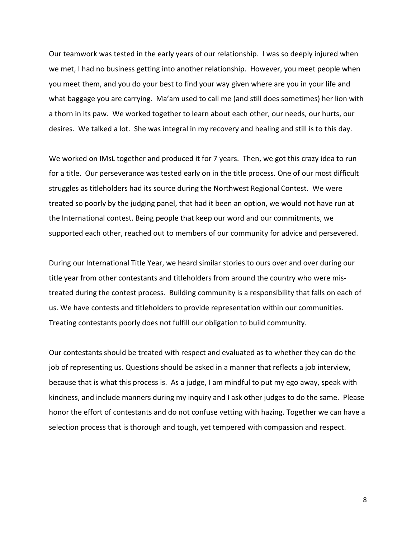Our teamwork was tested in the early years of our relationship. I was so deeply injured when we met, I had no business getting into another relationship. However, you meet people when you meet them, and you do your best to find your way given where are you in your life and what baggage you are carrying. Ma'am used to call me (and still does sometimes) her lion with a thorn in its paw. We worked together to learn about each other, our needs, our hurts, our desires. We talked a lot. She was integral in my recovery and healing and still is to this day.

We worked on IMsL together and produced it for 7 years. Then, we got this crazy idea to run for a title. Our perseverance was tested early on in the title process. One of our most difficult struggles as titleholders had its source during the Northwest Regional Contest. We were treated so poorly by the judging panel, that had it been an option, we would not have run at the International contest. Being people that keep our word and our commitments, we supported each other, reached out to members of our community for advice and persevered.

During our International Title Year, we heard similar stories to ours over and over during our title year from other contestants and titleholders from around the country who were mistreated during the contest process. Building community is a responsibility that falls on each of us. We have contests and titleholders to provide representation within our communities. Treating contestants poorly does not fulfill our obligation to build community.

Our contestants should be treated with respect and evaluated as to whether they can do the job of representing us. Questions should be asked in a manner that reflects a job interview, because that is what this process is. As a judge, I am mindful to put my ego away, speak with kindness, and include manners during my inquiry and I ask other judges to do the same. Please honor the effort of contestants and do not confuse vetting with hazing. Together we can have a selection process that is thorough and tough, yet tempered with compassion and respect.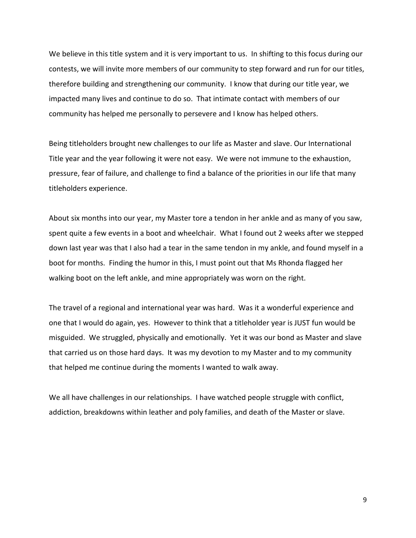We believe in this title system and it is very important to us. In shifting to this focus during our contests, we will invite more members of our community to step forward and run for our titles, therefore building and strengthening our community. I know that during our title year, we impacted many lives and continue to do so. That intimate contact with members of our community has helped me personally to persevere and I know has helped others.

Being titleholders brought new challenges to our life as Master and slave. Our International Title year and the year following it were not easy. We were not immune to the exhaustion, pressure, fear of failure, and challenge to find a balance of the priorities in our life that many titleholders experience.

About six months into our year, my Master tore a tendon in her ankle and as many of you saw, spent quite a few events in a boot and wheelchair. What I found out 2 weeks after we stepped down last year was that I also had a tear in the same tendon in my ankle, and found myself in a boot for months. Finding the humor in this, I must point out that Ms Rhonda flagged her walking boot on the left ankle, and mine appropriately was worn on the right.

The travel of a regional and international year was hard. Was it a wonderful experience and one that I would do again, yes. However to think that a titleholder year is JUST fun would be misguided. We struggled, physically and emotionally. Yet it was our bond as Master and slave that carried us on those hard days. It was my devotion to my Master and to my community that helped me continue during the moments I wanted to walk away.

We all have challenges in our relationships. I have watched people struggle with conflict, addiction, breakdowns within leather and poly families, and death of the Master or slave.